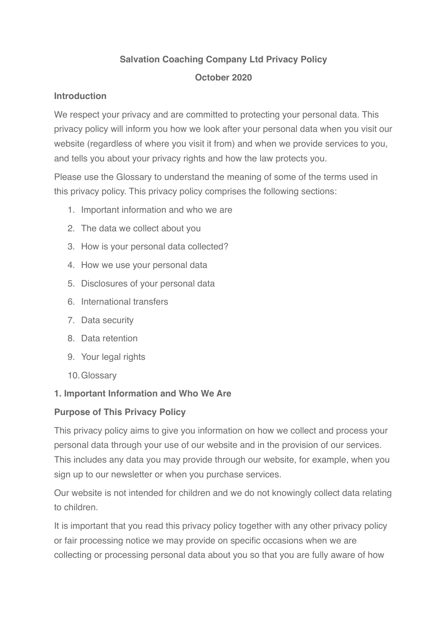### **Salvation Coaching Company Ltd Privacy Policy**

### **October 2020**

### **Introduction**

We respect your privacy and are committed to protecting your personal data. This privacy policy will inform you how we look after your personal data when you visit our website (regardless of where you visit it from) and when we provide services to you, and tells you about your privacy rights and how the law protects you.

Please use the Glossary to understand the meaning of some of the terms used in this privacy policy. This privacy policy comprises the following sections:

- 1. Important information and who we are
- 2. The data we collect about you
- 3. How is your personal data collected?
- 4. How we use your personal data
- 5. Disclosures of your personal data
- 6. International transfers
- 7. Data security
- 8. Data retention
- 9. Your legal rights
- 10.Glossary

### **1. Important Information and Who We Are**

### **Purpose of This Privacy Policy**

This privacy policy aims to give you information on how we collect and process your personal data through your use of our website and in the provision of our services. This includes any data you may provide through our website, for example, when you sign up to our newsletter or when you purchase services.

Our website is not intended for children and we do not knowingly collect data relating to children.

It is important that you read this privacy policy together with any other privacy policy or fair processing notice we may provide on specific occasions when we are collecting or processing personal data about you so that you are fully aware of how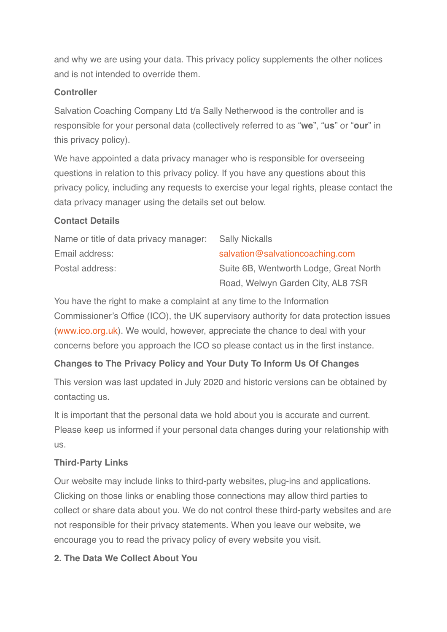and why we are using your data. This privacy policy supplements the other notices and is not intended to override them.

#### **Controller**

Salvation Coaching Company Ltd t/a Sally Netherwood is the controller and is responsible for your personal data (collectively referred to as "**we**", "**us**" or "**our**" in this privacy policy).

We have appointed a data privacy manager who is responsible for overseeing questions in relation to this privacy policy. If you have any questions about this privacy policy, including any requests to exercise your legal rights, please contact the data privacy manager using the details set out below.

#### **Contact Details**

| Name or title of data privacy manager: | <b>Sally Nickalls</b>                  |
|----------------------------------------|----------------------------------------|
| Email address:                         | salvation@salvationcoaching.com        |
| Postal address:                        | Suite 6B, Wentworth Lodge, Great North |
|                                        | Road, Welwyn Garden City, AL8 7SR      |

You have the right to make a complaint at any time to the Information Commissioner's Office (ICO), the UK supervisory authority for data protection issues ([www.ico.org.uk\)](http://www.ico.org.uk). We would, however, appreciate the chance to deal with your concerns before you approach the ICO so please contact us in the first instance.

# **Changes to The Privacy Policy and Your Duty To Inform Us Of Changes**

This version was last updated in July 2020 and historic versions can be obtained by contacting us.

It is important that the personal data we hold about you is accurate and current. Please keep us informed if your personal data changes during your relationship with us.

### **Third-Party Links**

Our website may include links to third-party websites, plug-ins and applications. Clicking on those links or enabling those connections may allow third parties to collect or share data about you. We do not control these third-party websites and are not responsible for their privacy statements. When you leave our website, we encourage you to read the privacy policy of every website you visit.

### **2. The Data We Collect About You**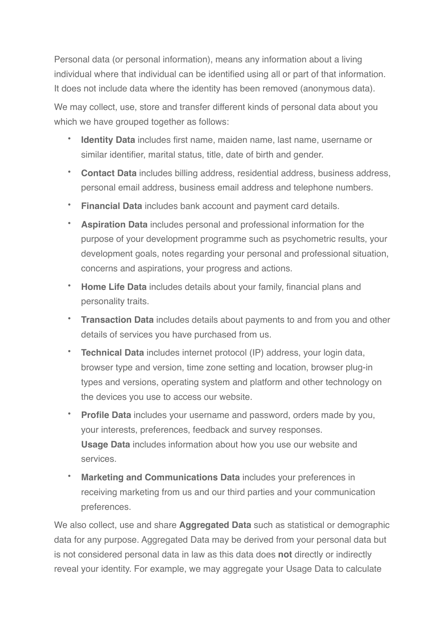Personal data (or personal information), means any information about a living individual where that individual can be identified using all or part of that information. It does not include data where the identity has been removed (anonymous data).

We may collect, use, store and transfer different kinds of personal data about you which we have grouped together as follows:

- **Identity Data** includes first name, maiden name, last name, username or similar identifier, marital status, title, date of birth and gender.
- **Contact Data** includes billing address, residential address, business address, personal email address, business email address and telephone numbers.
- **Financial Data** includes bank account and payment card details.
- **Aspiration Data** includes personal and professional information for the purpose of your development programme such as psychometric results, your development goals, notes regarding your personal and professional situation, concerns and aspirations, your progress and actions.
- **Home Life Data** includes details about your family, financial plans and personality traits.
- **Transaction Data** includes details about payments to and from you and other details of services you have purchased from us.
- **Technical Data** includes internet protocol (IP) address, your login data, browser type and version, time zone setting and location, browser plug-in types and versions, operating system and platform and other technology on the devices you use to access our website.
- **Profile Data** includes your username and password, orders made by you, your interests, preferences, feedback and survey responses. **Usage Data** includes information about how you use our website and services.
- **Marketing and Communications Data** includes your preferences in receiving marketing from us and our third parties and your communication preferences.

We also collect, use and share **Aggregated Data** such as statistical or demographic data for any purpose. Aggregated Data may be derived from your personal data but is not considered personal data in law as this data does **not** directly or indirectly reveal your identity. For example, we may aggregate your Usage Data to calculate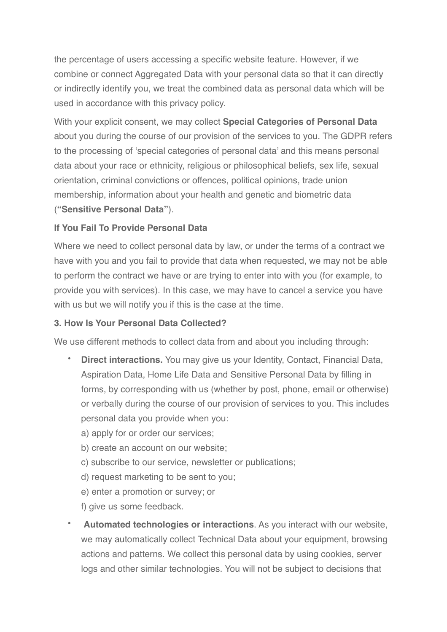the percentage of users accessing a specific website feature. However, if we combine or connect Aggregated Data with your personal data so that it can directly or indirectly identify you, we treat the combined data as personal data which will be used in accordance with this privacy policy.

With your explicit consent, we may collect **Special Categories of Personal Data** about you during the course of our provision of the services to you. The GDPR refers to the processing of 'special categories of personal data' and this means personal data about your race or ethnicity, religious or philosophical beliefs, sex life, sexual orientation, criminal convictions or offences, political opinions, trade union membership, information about your health and genetic and biometric data (**"Sensitive Personal Data"**).

### **If You Fail To Provide Personal Data**

Where we need to collect personal data by law, or under the terms of a contract we have with you and you fail to provide that data when requested, we may not be able to perform the contract we have or are trying to enter into with you (for example, to provide you with services). In this case, we may have to cancel a service you have with us but we will notify you if this is the case at the time.

#### **3. How Is Your Personal Data Collected?**

We use different methods to collect data from and about you including through:

- **Direct interactions.** You may give us your Identity, Contact, Financial Data, Aspiration Data, Home Life Data and Sensitive Personal Data by filling in forms, by corresponding with us (whether by post, phone, email or otherwise) or verbally during the course of our provision of services to you. This includes personal data you provide when you:
	- a) apply for or order our services;
	- b) create an account on our website;
	- c) subscribe to our service, newsletter or publications;
	- d) request marketing to be sent to you;
	- e) enter a promotion or survey; or

f) give us some feedback.

• **Automated technologies or interactions**. As you interact with our website, we may automatically collect Technical Data about your equipment, browsing actions and patterns. We collect this personal data by using cookies, server logs and other similar technologies. You will not be subject to decisions that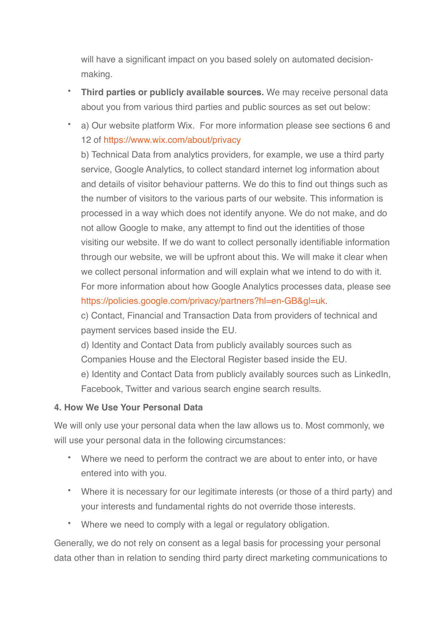will have a significant impact on you based solely on automated decisionmaking.

- **Third parties or publicly available sources.** We may receive personal data about you from various third parties and public sources as set out below:
- a) Our website platform Wix. For more information please see sections 6 and 12 of<https://www.wix.com/about/privacy>

b) Technical Data from analytics providers, for example, we use a third party service, Google Analytics, to collect standard internet log information about and details of visitor behaviour patterns. We do this to find out things such as the number of visitors to the various parts of our website. This information is processed in a way which does not identify anyone. We do not make, and do not allow Google to make, any attempt to find out the identities of those visiting our website. If we do want to collect personally identifiable information through our website, we will be upfront about this. We will make it clear when we collect personal information and will explain what we intend to do with it. For more information about how Google Analytics processes data, please see [https://policies.google.com/privacy/partners?hl=en-GB&gl=uk.](https://policies.google.com/privacy/partners?hl=en-GB&gl=uk)

c) Contact, Financial and Transaction Data from providers of technical and payment services based inside the EU.

d) Identity and Contact Data from publicly availably sources such as Companies House and the Electoral Register based inside the EU. e) Identity and Contact Data from publicly availably sources such as LinkedIn, Facebook, Twitter and various search engine search results.

#### **4. How We Use Your Personal Data**

We will only use your personal data when the law allows us to. Most commonly, we will use your personal data in the following circumstances:

- Where we need to perform the contract we are about to enter into, or have entered into with you.
- Where it is necessary for our legitimate interests (or those of a third party) and your interests and fundamental rights do not override those interests.
- Where we need to comply with a legal or regulatory obligation.

Generally, we do not rely on consent as a legal basis for processing your personal data other than in relation to sending third party direct marketing communications to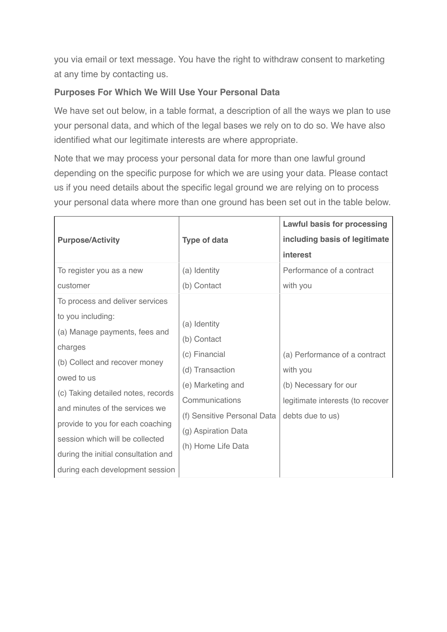you via email or text message. You have the right to withdraw consent to marketing at any time by contacting us.

#### **Purposes For Which We Will Use Your Personal Data**

We have set out below, in a table format, a description of all the ways we plan to use your personal data, and which of the legal bases we rely on to do so. We have also identified what our legitimate interests are where appropriate.

Note that we may process your personal data for more than one lawful ground depending on the specific purpose for which we are using your data. Please contact us if you need details about the specific legal ground we are relying on to process your personal data where more than one ground has been set out in the table below.

|                                     |                             | <b>Lawful basis for processing</b> |
|-------------------------------------|-----------------------------|------------------------------------|
| <b>Purpose/Activity</b>             | <b>Type of data</b>         | including basis of legitimate      |
|                                     |                             | interest                           |
| To register you as a new            | (a) Identity                | Performance of a contract          |
| customer                            | (b) Contact                 | with you                           |
| To process and deliver services     |                             |                                    |
| to you including:                   | (a) Identity                |                                    |
| (a) Manage payments, fees and       | (b) Contact                 |                                    |
| charges                             | (c) Financial               | (a) Performance of a contract      |
| (b) Collect and recover money       | (d) Transaction             | with you                           |
| owed to us                          | (e) Marketing and           | (b) Necessary for our              |
| (c) Taking detailed notes, records  | Communications              | legitimate interests (to recover   |
| and minutes of the services we      |                             |                                    |
| provide to you for each coaching    | (f) Sensitive Personal Data | debts due to us)                   |
| session which will be collected     | (g) Aspiration Data         |                                    |
| during the initial consultation and | (h) Home Life Data          |                                    |
| during each development session     |                             |                                    |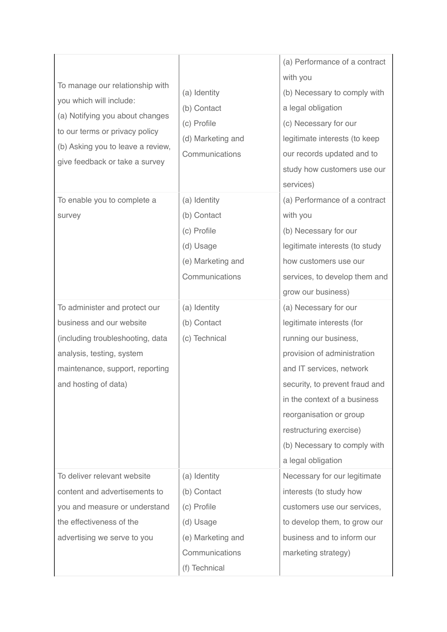| To manage our relationship with<br>you which will include:<br>(a) Notifying you about changes<br>to our terms or privacy policy<br>(b) Asking you to leave a review,<br>give feedback or take a survey | (a) Identity<br>(b) Contact<br>(c) Profile<br>(d) Marketing and<br>Communications                               | (a) Performance of a contract<br>with you<br>(b) Necessary to comply with<br>a legal obligation<br>(c) Necessary for our<br>legitimate interests (to keep<br>our records updated and to<br>study how customers use our<br>services)                                                                                  |
|--------------------------------------------------------------------------------------------------------------------------------------------------------------------------------------------------------|-----------------------------------------------------------------------------------------------------------------|----------------------------------------------------------------------------------------------------------------------------------------------------------------------------------------------------------------------------------------------------------------------------------------------------------------------|
| To enable you to complete a<br>survey                                                                                                                                                                  | (a) Identity<br>(b) Contact<br>(c) Profile<br>(d) Usage<br>(e) Marketing and<br>Communications                  | (a) Performance of a contract<br>with you<br>(b) Necessary for our<br>legitimate interests (to study<br>how customers use our<br>services, to develop them and<br>grow our business)                                                                                                                                 |
| To administer and protect our<br>business and our website<br>(including troubleshooting, data<br>analysis, testing, system<br>maintenance, support, reporting<br>and hosting of data)                  | (a) Identity<br>(b) Contact<br>(c) Technical                                                                    | (a) Necessary for our<br>legitimate interests (for<br>running our business,<br>provision of administration<br>and IT services, network<br>security, to prevent fraud and<br>in the context of a business<br>reorganisation or group<br>restructuring exercise)<br>(b) Necessary to comply with<br>a legal obligation |
| To deliver relevant website<br>content and advertisements to<br>you and measure or understand<br>the effectiveness of the<br>advertising we serve to you                                               | (a) Identity<br>(b) Contact<br>(c) Profile<br>(d) Usage<br>(e) Marketing and<br>Communications<br>(f) Technical | Necessary for our legitimate<br>interests (to study how<br>customers use our services,<br>to develop them, to grow our<br>business and to inform our<br>marketing strategy)                                                                                                                                          |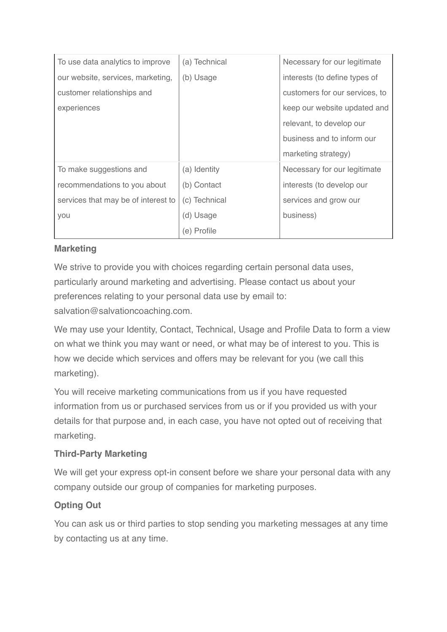| To use data analytics to improve    | (a) Technical | Necessary for our legitimate   |
|-------------------------------------|---------------|--------------------------------|
| our website, services, marketing,   | (b) Usage     | interests (to define types of  |
| customer relationships and          |               | customers for our services, to |
| experiences                         |               | keep our website updated and   |
|                                     |               | relevant, to develop our       |
|                                     |               | business and to inform our     |
|                                     |               | marketing strategy)            |
| To make suggestions and             | (a) Identity  | Necessary for our legitimate   |
| recommendations to you about        | (b) Contact   | interests (to develop our      |
| services that may be of interest to | (c) Technical | services and grow our          |
| you                                 | (d) Usage     | business)                      |
|                                     | (e) Profile   |                                |

## **Marketing**

We strive to provide you with choices regarding certain personal data uses, particularly around marketing and advertising. Please contact us about your preferences relating to your personal data use by email to: salvation@salvationcoaching.com.

We may use your Identity, Contact, Technical, Usage and Profile Data to form a view on what we think you may want or need, or what may be of interest to you. This is how we decide which services and offers may be relevant for you (we call this marketing).

You will receive marketing communications from us if you have requested information from us or purchased services from us or if you provided us with your details for that purpose and, in each case, you have not opted out of receiving that marketing.

# **Third-Party Marketing**

We will get your express opt-in consent before we share your personal data with any company outside our group of companies for marketing purposes.

# **Opting Out**

You can ask us or third parties to stop sending you marketing messages at any time by contacting us at any time.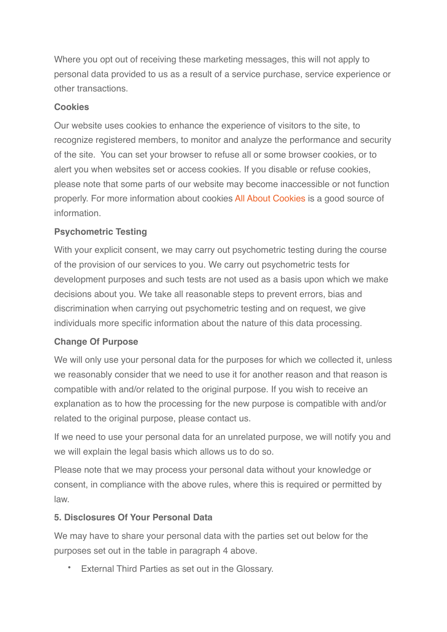Where you opt out of receiving these marketing messages, this will not apply to personal data provided to us as a result of a service purchase, service experience or other transactions.

#### **Cookies**

Our website uses cookies to enhance the experience of visitors to the site, to recognize registered members, to monitor and analyze the performance and security of the site. You can set your browser to refuse all or some browser cookies, or to alert you when websites set or access cookies. If you disable or refuse cookies, please note that some parts of our website may become inaccessible or not function properly. For more information about cookies [All About Cookies](https://www.allaboutcookies.org/) is a good source of information.

### **Psychometric Testing**

With your explicit consent, we may carry out psychometric testing during the course of the provision of our services to you. We carry out psychometric tests for development purposes and such tests are not used as a basis upon which we make decisions about you. We take all reasonable steps to prevent errors, bias and discrimination when carrying out psychometric testing and on request, we give individuals more specific information about the nature of this data processing.

### **Change Of Purpose**

We will only use your personal data for the purposes for which we collected it, unless we reasonably consider that we need to use it for another reason and that reason is compatible with and/or related to the original purpose. If you wish to receive an explanation as to how the processing for the new purpose is compatible with and/or related to the original purpose, please contact us.

If we need to use your personal data for an unrelated purpose, we will notify you and we will explain the legal basis which allows us to do so.

Please note that we may process your personal data without your knowledge or consent, in compliance with the above rules, where this is required or permitted by law.

#### **5. Disclosures Of Your Personal Data**

We may have to share your personal data with the parties set out below for the purposes set out in the table in paragraph 4 above.

External Third Parties as set out in the Glossary.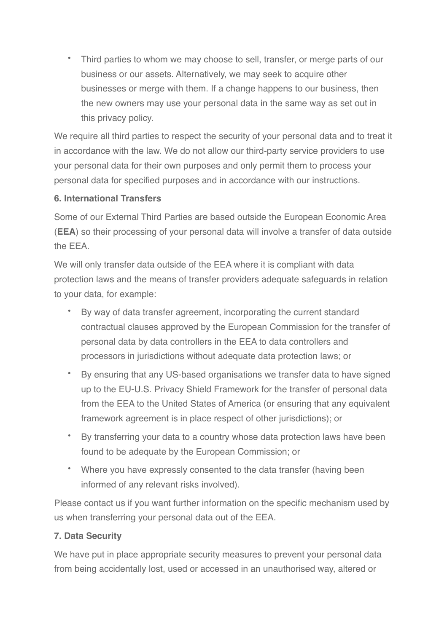• Third parties to whom we may choose to sell, transfer, or merge parts of our business or our assets. Alternatively, we may seek to acquire other businesses or merge with them. If a change happens to our business, then the new owners may use your personal data in the same way as set out in this privacy policy.

We require all third parties to respect the security of your personal data and to treat it in accordance with the law. We do not allow our third-party service providers to use your personal data for their own purposes and only permit them to process your personal data for specified purposes and in accordance with our instructions.

### **6. International Transfers**

Some of our External Third Parties are based outside the European Economic Area (**EEA**) so their processing of your personal data will involve a transfer of data outside the EEA.

We will only transfer data outside of the EEA where it is compliant with data protection laws and the means of transfer providers adequate safeguards in relation to your data, for example:

- By way of data transfer agreement, incorporating the current standard contractual clauses approved by the European Commission for the transfer of personal data by data controllers in the EEA to data controllers and processors in jurisdictions without adequate data protection laws; or
- By ensuring that any US-based organisations we transfer data to have signed up to the EU-U.S. Privacy Shield Framework for the transfer of personal data from the EEA to the United States of America (or ensuring that any equivalent framework agreement is in place respect of other jurisdictions); or
- By transferring your data to a country whose data protection laws have been found to be adequate by the European Commission; or
- Where you have expressly consented to the data transfer (having been informed of any relevant risks involved).

Please contact us if you want further information on the specific mechanism used by us when transferring your personal data out of the EEA.

# **7. Data Security**

We have put in place appropriate security measures to prevent your personal data from being accidentally lost, used or accessed in an unauthorised way, altered or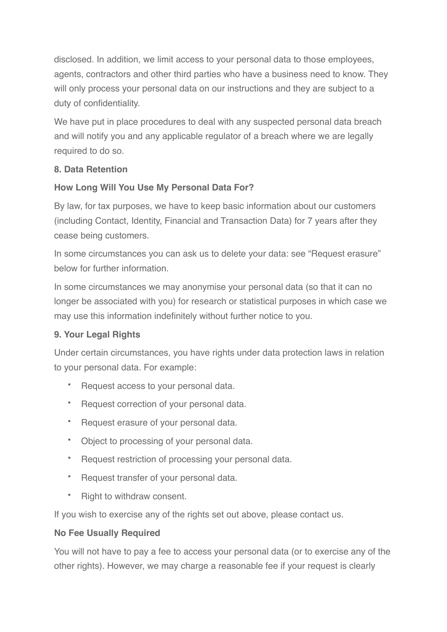disclosed. In addition, we limit access to your personal data to those employees, agents, contractors and other third parties who have a business need to know. They will only process your personal data on our instructions and they are subject to a duty of confidentiality.

We have put in place procedures to deal with any suspected personal data breach and will notify you and any applicable regulator of a breach where we are legally required to do so.

### **8. Data Retention**

### **How Long Will You Use My Personal Data For?**

By law, for tax purposes, we have to keep basic information about our customers (including Contact, Identity, Financial and Transaction Data) for 7 years after they cease being customers.

In some circumstances you can ask us to delete your data: see "Request erasure" below for further information.

In some circumstances we may anonymise your personal data (so that it can no longer be associated with you) for research or statistical purposes in which case we may use this information indefinitely without further notice to you.

#### **9. Your Legal Rights**

Under certain circumstances, you have rights under data protection laws in relation to your personal data. For example:

- Request access to your personal data.
- Request correction of your personal data.
- Request erasure of your personal data.
- Object to processing of your personal data.
- Request restriction of processing your personal data.
- Request transfer of your personal data.
- Right to withdraw consent.

If you wish to exercise any of the rights set out above, please contact us.

#### **No Fee Usually Required**

You will not have to pay a fee to access your personal data (or to exercise any of the other rights). However, we may charge a reasonable fee if your request is clearly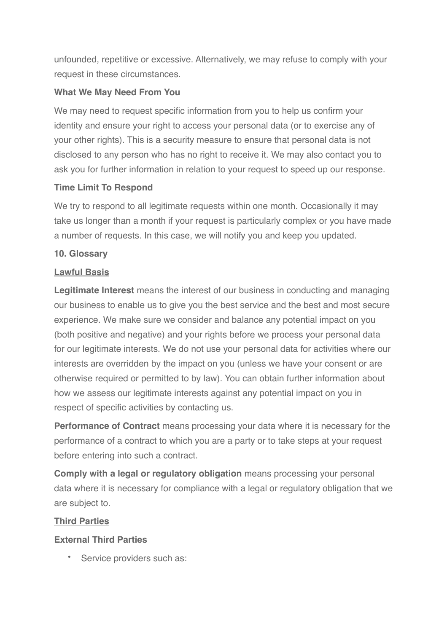unfounded, repetitive or excessive. Alternatively, we may refuse to comply with your request in these circumstances.

#### **What We May Need From You**

We may need to request specific information from you to help us confirm your identity and ensure your right to access your personal data (or to exercise any of your other rights). This is a security measure to ensure that personal data is not disclosed to any person who has no right to receive it. We may also contact you to ask you for further information in relation to your request to speed up our response.

#### **Time Limit To Respond**

We try to respond to all legitimate requests within one month. Occasionally it may take us longer than a month if your request is particularly complex or you have made a number of requests. In this case, we will notify you and keep you updated.

#### **10. Glossary**

#### **Lawful Basis**

**Legitimate Interest** means the interest of our business in conducting and managing our business to enable us to give you the best service and the best and most secure experience. We make sure we consider and balance any potential impact on you (both positive and negative) and your rights before we process your personal data for our legitimate interests. We do not use your personal data for activities where our interests are overridden by the impact on you (unless we have your consent or are otherwise required or permitted to by law). You can obtain further information about how we assess our legitimate interests against any potential impact on you in respect of specific activities by contacting us.

**Performance of Contract** means processing your data where it is necessary for the performance of a contract to which you are a party or to take steps at your request before entering into such a contract.

**Comply with a legal or regulatory obligation** means processing your personal data where it is necessary for compliance with a legal or regulatory obligation that we are subject to.

#### **Third Parties**

#### **External Third Parties**

Service providers such as: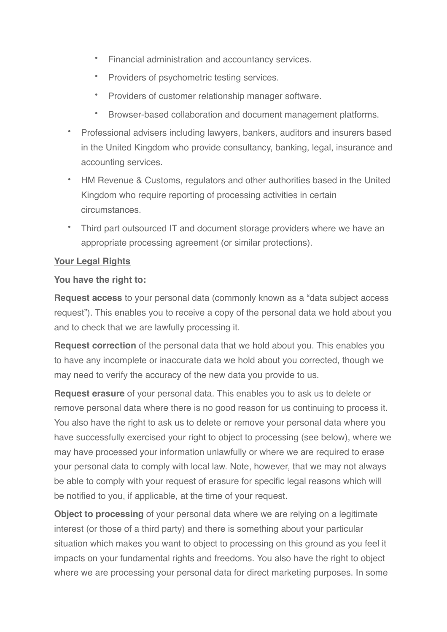- Financial administration and accountancy services.
- Providers of psychometric testing services.
- Providers of customer relationship manager software.
- Browser-based collaboration and document management platforms.
- Professional advisers including lawyers, bankers, auditors and insurers based in the United Kingdom who provide consultancy, banking, legal, insurance and accounting services.
- HM Revenue & Customs, regulators and other authorities based in the United Kingdom who require reporting of processing activities in certain circumstances.
- Third part outsourced IT and document storage providers where we have an appropriate processing agreement (or similar protections).

#### **Your Legal Rights**

#### **You have the right to:**

**Request access** to your personal data (commonly known as a "data subject access request"). This enables you to receive a copy of the personal data we hold about you and to check that we are lawfully processing it.

**Request correction** of the personal data that we hold about you. This enables you to have any incomplete or inaccurate data we hold about you corrected, though we may need to verify the accuracy of the new data you provide to us.

**Request erasure** of your personal data. This enables you to ask us to delete or remove personal data where there is no good reason for us continuing to process it. You also have the right to ask us to delete or remove your personal data where you have successfully exercised your right to object to processing (see below), where we may have processed your information unlawfully or where we are required to erase your personal data to comply with local law. Note, however, that we may not always be able to comply with your request of erasure for specific legal reasons which will be notified to you, if applicable, at the time of your request.

**Object to processing** of your personal data where we are relying on a legitimate interest (or those of a third party) and there is something about your particular situation which makes you want to object to processing on this ground as you feel it impacts on your fundamental rights and freedoms. You also have the right to object where we are processing your personal data for direct marketing purposes. In some